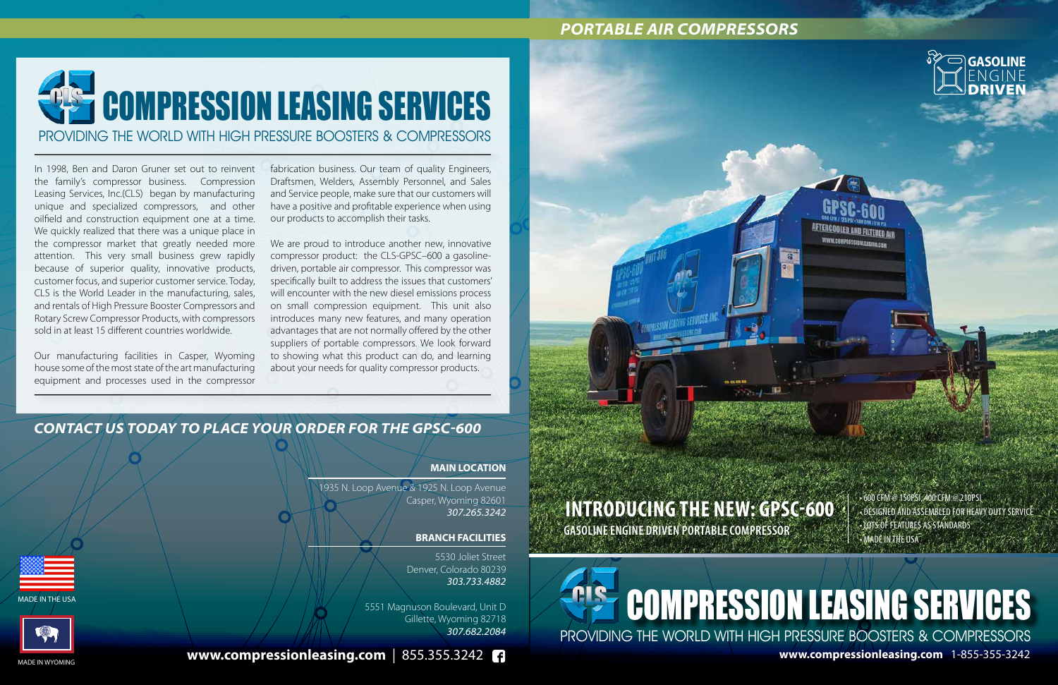#### **MAIN LOCATION**

1935 N. Loop Avenue & 1925 N. Loop Avenue Casper, Wyoming 82601 *307.265.3242*

#### **BRANCH FACILITIES**

5530 Joliet Street Denver, Colorado 80239 *303.733.4882*

5551 Magnuson Boulevard, Unit D Gillette, Wyoming 82718 *307.682.2084*

**www.compressionleasing.com** | 855.355.3242



In 1998, Ben and Daron Gruner set out to reinvent the family's compressor business. Compression Leasing Services, Inc.(CLS) began by manufacturing unique and specialized compressors, and other oilfield and construction equipment one at a time. We quickly realized that there was a unique place in the compressor market that greatly needed more attention. This very small business grew rapidly because of superior quality, innovative products, customer focus, and superior customer service. Today, CLS is the World Leader in the manufacturing, sales, and rentals of High Pressure Booster Compressors and Rotary Screw Compressor Products, with compressors sold in at least 15 different countries worldwide.

Our manufacturing facilities in Casper, Wyoming house some of the most state of the art manufacturing equipment and processes used in the compressor

fabrication business. Our team of quality Engineers, Draftsmen, Welders, Assembly Personnel, and Sales and Service people, make sure that our customers will have a positive and profitable experience when using our products to accomplish their tasks.

We are proud to introduce another new, innovative compressor product: the CLS-GPSC–600 a gasolinedriven, portable air compressor. This compressor was specifically built to address the issues that customers' will encounter with the new diesel emissions process on small compression equipment. This unit also introduces many new features, and many operation advantages that are not normally offered by the other suppliers of portable compressors. We look forward to showing what this product can do, and learning about your needs for quality compressor products.

# PROVIDING THE WORLD WITH HIGH PRESSURE BOOSTERS & COMPRESSORS COMPRESSION LEASING SERVICES

MADE IN WYOMING



### *PORTABLE AIR COMPRESSORS*

### *CONTACT US TODAY TO PLACE YOUR ORDER FOR THE GPSC-600*

## PROVIDING THE WORLD WITH HIGH PRESSURE BOOSTERS & COMPRESSORS COMPRESSION LEASING SERVICES **www.compressionleasing.com** 1-855-355-3242

• 600 CFM @ 150PSI, 400 CFM @ 210PSI • DESIGNED AND ASSEMBLED FOR HEAVY DUTY SERVICE • LOTS OF FEATURES AS STANDARDS • MADE IN THE USA

**GASOLINE ENGINE DRIVEN PORTABLE COMPRESSOR**



**INTRODUCING THE NEW: GPSC-600**







MADE IN THE USA